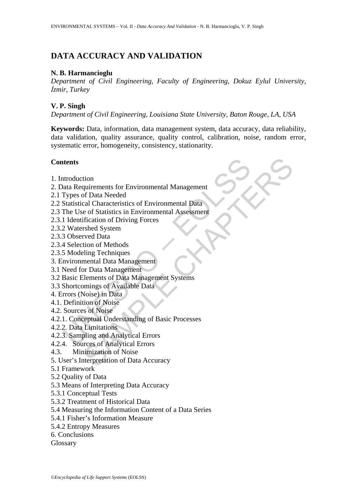# **DATA ACCURACY AND VALIDATION**

# **N. B. Harmancioglu**

*Department of Civil Engineering, Faculty of Engineering, Dokuz Eylul University, İzmir, Turkey* 

# **V. P. Singh**

*Department of Civil Engineering, Louisiana State University, Baton Rouge, LA, USA* 

**Keywords:** Data, information, data management system, data accuracy, data reliability, data validation, quality assurance, quality control, calibration, noise, random error, systematic error, homogeneity, consistency, stationarity.

# **Contents**

- 1. Introduction
- **thents**<br>
Introduction<br>
ata Requirements for Environmental Management<br>
Types of Data Needed<br>
Statistical Characteristics of Environmental Data<br>
The Use of Statistics in Environmental Assessment<br>
1 Identification of Driving tion<br>
universites for Environmental Management<br>
Sof Data Needed<br>
cal Characteristics of Environmental Data<br>
or Statistics in Environmental Assessment<br>
rification of Methods<br>
tion of Methods<br>
time Prophetical Data<br>
limageme 2. Data Requirements for Environmental Management
- 2.1 Types of Data Needed
- 2.2 Statistical Characteristics of Environmental Data
- 2.3 The Use of Statistics in Environmental Assessment
- 2.3.1 Identification of Driving Forces
- 2.3.2 Watershed System
- 2.3.3 Observed Data
- 2.3.4 Selection of Methods
- 2.3.5 Modeling Techniques
- 3. Environmental Data Management
- 3.1 Need for Data Management
- 3.2 Basic Elements of Data Management Systems
- 3.3 Shortcomings of Available Data
- 4. Errors (Noise) in Data
- 4.1. Definition of Noise
- 4.2. Sources of Noise
- 4.2.1. Conceptual Understanding of Basic Processes
- 4.2.2. Data Limitations
- 4.2.3. Sampling and Analytical Errors
- 4.2.4. Sources of Analytical Errors
- 4.3. Minimization of Noise
- 5. User's Interpretation of Data Accuracy
- 5.1 Framework
- 5.2 Quality of Data
- 5.3 Means of Interpreting Data Accuracy
- 5.3.1 Conceptual Tests
- 5.3.2 Treatment of Historical Data
- 5.4 Measuring the Information Content of a Data Series
- 5.4.1 Fisher's Information Measure
- 5.4.2 Entropy Measures
- 6. Conclusions
- Glossary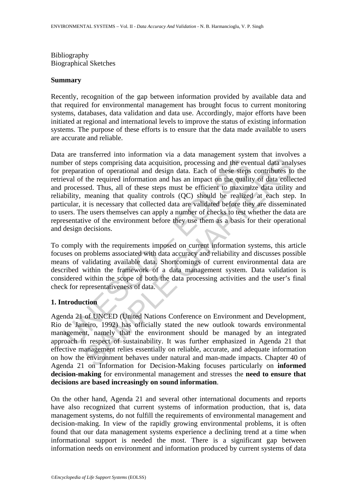Bibliography Biographical Sketches

#### **Summary**

Recently, recognition of the gap between information provided by available data and that required for environmental management has brought focus to current monitoring systems, databases, data validation and data use. Accordingly, major efforts have been initiated at regional and international levels to improve the status of existing information systems. The purpose of these efforts is to ensure that the data made available to users are accurate and reliable.

there of steps comprising data acquisition, processing and the ever-<br>preparation of operational and design data. Each of these steps<br>eval of the required information and has an impact on the qualit<br>processed. Thus, all of steps comprising data acquisition, processing and the eventual data anal<br>steps comprising data acquisition, processing and the eventual data anal<br>tion of operational and design data. Each of these steps contributes to<br>the Data are transferred into information via a data management system that involves a number of steps comprising data acquisition, processing and the eventual data analyses for preparation of operational and design data. Each of these steps contributes to the retrieval of the required information and has an impact on the quality of data collected and processed. Thus, all of these steps must be efficient to maximize data utility and reliability, meaning that quality controls (QC) should be realized at each step. In particular, it is necessary that collected data are validated before they are disseminated to users. The users themselves can apply a number of checks to test whether the data are representative of the environment before they use them as a basis for their operational and design decisions.

To comply with the requirements imposed on current information systems, this article focuses on problems associated with data accuracy and reliability and discusses possible means of validating available data. Shortcomings of current environmental data are described within the framework of a data management system. Data validation is considered within the scope of both the data processing activities and the user's final check for representativeness of data.

### **1. Introduction**

Agenda 21 of UNCED (United Nations Conference on Environment and Development, Rio de Janeiro, 1992) has officially stated the new outlook towards environmental management, namely that the environment should be managed by an integrated approach in respect of sustainability. It was further emphasized in Agenda 21 that effective management relies essentially on reliable, accurate, and adequate information on how the environment behaves under natural and man-made impacts. Chapter 40 of Agenda 21 on Information for Decision-Making focuses particularly on **informed decision-making** for environmental management and stresses the **need to ensure that decisions are based increasingly on sound information**.

On the other hand, Agenda 21 and several other international documents and reports have also recognized that current systems of information production, that is, data management systems, do not fulfill the requirements of environmental management and decision-making. In view of the rapidly growing environmental problems, it is often found that our data management systems experience a declining trend at a time when informational support is needed the most. There is a significant gap between information needs on environment and information produced by current systems of data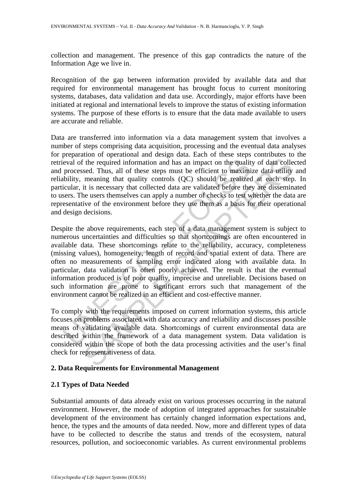collection and management. The presence of this gap contradicts the nature of the Information Age we live in.

Recognition of the gap between information provided by available data and that required for environmental management has brought focus to current monitoring systems, databases, data validation and data use. Accordingly, major efforts have been initiated at regional and international levels to improve the status of existing information systems. The purpose of these efforts is to ensure that the data made available to users are accurate and reliable.

Data are transferred into information via a data management system that involves a number of steps comprising data acquisition, processing and the eventual data analyses for preparation of operational and design data. Each of these steps contributes to the retrieval of the required information and has an impact on the quality of data collected and processed. Thus, all of these steps must be efficient to maximize data utility and reliability, meaning that quality controls (QC) should be realized at each step. In particular, it is necessary that collected data are validated before they are disseminated to users. The users themselves can apply a number of checks to test whether the data are representative of the environment before they use them as a basis for their operational and design decisions.

eval of the required information and has an impact on the quality<br>processed. Thus, all of these steps must be efficient to maximi<br>bility, meaning that quality controls (QC) should be realized<br>cicular, it is necessary that The required information and has an impact on the quality of data collection. Thus, all of these steps must be efficient to maximize data utility meaning that quality ortrods  $(QC)$  should be realized at each step of the m Despite the above requirements, each step of a data management system is subject to numerous uncertainties and difficulties so that shortcomings are often encountered in available data. These shortcomings relate to the reliability, accuracy, completeness (missing values), homogeneity, length of record and spatial extent of data. There are often no measurements of sampling error indicated along with available data. In particular, data validation is often poorly achieved. The result is that the eventual information produced is of poor quality, imprecise and unreliable. Decisions based on such information are prone to significant errors such that management of the environment cannot be realized in an efficient and cost-effective manner.

To comply with the requirements imposed on current information systems, this article focuses on problems associated with data accuracy and reliability and discusses possible means of validating available data. Shortcomings of current environmental data are described within the framework of a data management system. Data validation is considered within the scope of both the data processing activities and the user's final check for representativeness of data.

# **2. Data Requirements for Environmental Management**

# **2.1 Types of Data Needed**

Substantial amounts of data already exist on various processes occurring in the natural environment. However, the mode of adoption of integrated approaches for sustainable development of the environment has certainly changed information expectations and, hence, the types and the amounts of data needed. Now, more and different types of data have to be collected to describe the status and trends of the ecosystem, natural resources, pollution, and socioeconomic variables. As current environmental problems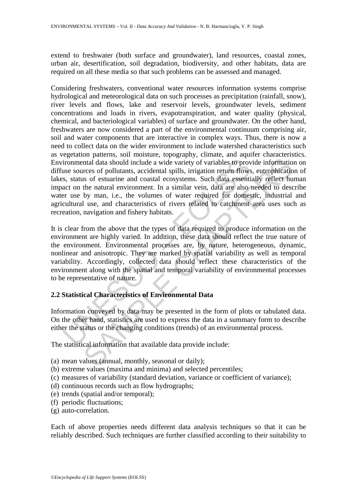extend to freshwater (both surface and groundwater), land resources, coastal zones, urban air, desertification, soil degradation, biodiversity, and other habitats, data are required on all these media so that such problems can be assessed and managed.

ironmental data should include a wide variety of variables to provase sources of pollutants, accidental spills, irrigation return flows, s, status of estuarine and coastal ecosystems. Such data essentiated on the natural e and data should include a wide variety of variables to provide information<br>trad data should include a wide variety of variables to provide informatio<br>res of pollutants, accidental spills, irrigation return flows, eutrophic Considering freshwaters, conventional water resources information systems comprise hydrological and meteorological data on such processes as precipitation (rainfall, snow), river levels and flows, lake and reservoir levels, groundwater levels, sediment concentrations and loads in rivers, evapotranspiration, and water quality (physical, chemical, and bacteriological variables) of surface and groundwater. On the other hand, freshwaters are now considered a part of the environmental continuum comprising air, soil and water components that are interactive in complex ways. Thus, there is now a need to collect data on the wider environment to include watershed characteristics such as vegetation patterns, soil moisture, topography, climate, and aquifer characteristics. Environmental data should include a wide variety of variables to provide information on diffuse sources of pollutants, accidental spills, irrigation return flows, eutrophication of lakes, status of estuarine and coastal ecosystems. Such data essentially reflect human impact on the natural environment. In a similar vein, data are also needed to describe water use by man, i.e., the volumes of water required for domestic, industrial and agricultural use, and characteristics of rivers related to catchment area uses such as recreation, navigation and fishery habitats.

It is clear from the above that the types of data required to produce information on the environment are highly varied. In addition, these data should reflect the true nature of the environment. Environmental processes are, by nature, heterogeneous, dynamic, nonlinear and anisotropic. They are marked by spatial variability as well as temporal variability. Accordingly, collected data should reflect these characteristics of the environment along with the spatial and temporal variability of environmental processes to be representative of nature.

# **2.2 Statistical Characteristics of Environmental Data**

Information conveyed by data may be presented in the form of plots or tabulated data. On the other hand, statistics are used to express the data in a summary form to describe either the status or the changing conditions (trends) of an environmental process.

The statistical information that available data provide include:

- (a) mean values (annual, monthly, seasonal or daily);
- (b) extreme values (maxima and minima) and selected percentiles;
- (c) measures of variability (standard deviation, variance or coefficient of variance);
- (d) continuous records such as flow hydrographs;
- (e) trends (spatial and/or temporal);
- (f) periodic fluctuations;
- (g) auto-correlation.

Each of above properties needs different data analysis techniques so that it can be reliably described. Such techniques are further classified according to their suitability to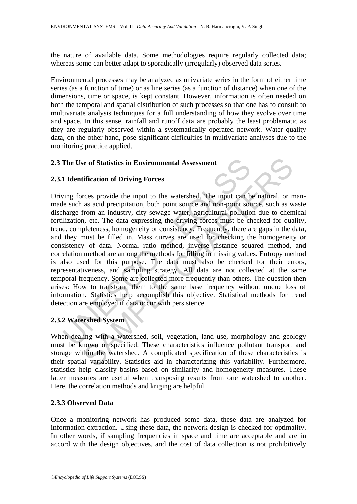the nature of available data. Some methodologies require regularly collected data; whereas some can better adapt to sporadically (irregularly) observed data series.

Environmental processes may be analyzed as univariate series in the form of either time series (as a function of time) or as line series (as a function of distance) when one of the dimensions, time or space, is kept constant. However, information is often needed on both the temporal and spatial distribution of such processes so that one has to consult to multivariate analysis techniques for a full understanding of how they evolve over time and space. In this sense, rainfall and runoff data are probably the least problematic as they are regularly observed within a systematically operated network. Water quality data, on the other hand, pose significant difficulties in multivariate analyses due to the monitoring practice applied.

## **2.3 The Use of Statistics in Environmental Assessment**

## **2.3.1 Identification of Driving Forces**

The Use of Statistics in Environmental Assessment<br>
1 Identification of Driving Forces<br>
ving forces provide the input to the watershed. The input can be<br>
le such as acid precipitation, both point source and non-point so<br>
ha is ed Statistics in Environmental Assessment<br>
dification of Driving Forces<br>
reces provide the input to the watershed. The input can be natural, or n<br>
as acid precipitation, both point source and non-point source, such as<br> Driving forces provide the input to the watershed. The input can be natural, or manmade such as acid precipitation, both point source and non-point source, such as waste discharge from an industry, city sewage water, agricultural pollution due to chemical fertilization, etc. The data expressing the driving forces must be checked for quality, trend, completeness, homogeneity or consistency. Frequently, there are gaps in the data, and they must be filled in. Mass curves are used for checking the homogeneity or consistency of data. Normal ratio method, inverse distance squared method, and correlation method are among the methods for filling in missing values. Entropy method is also used for this purpose. The data must also be checked for their errors, representativeness, and sampling strategy. All data are not collected at the same temporal frequency. Some are collected more frequently than others. The question then arises: How to transform them to the same base frequency without undue loss of information. Statistics help accomplish this objective. Statistical methods for trend detection are employed if data occur with persistence.

# **2.3.2 Watershed System**

When dealing with a watershed, soil, vegetation, land use, morphology and geology must be known or specified. These characteristics influence pollutant transport and storage within the watershed. A complicated specification of these characteristics is their spatial variability. Statistics aid in characterizing this variability. Furthermore, statistics help classify basins based on similarity and homogeneity measures. These latter measures are useful when transposing results from one watershed to another. Here, the correlation methods and kriging are helpful.

# **2.3.3 Observed Data**

Once a monitoring network has produced some data, these data are analyzed for information extraction. Using these data, the network design is checked for optimality. In other words, if sampling frequencies in space and time are acceptable and are in accord with the design objectives, and the cost of data collection is not prohibitively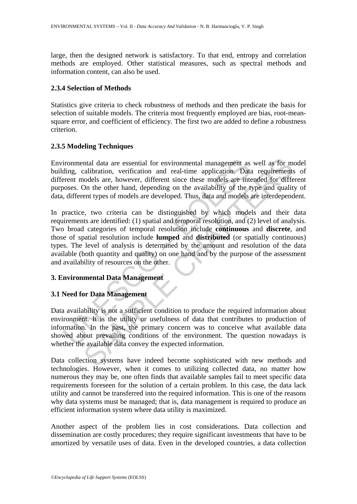large, then the designed network is satisfactory. To that end, entropy and correlation methods are employed. Other statistical measures, such as spectral methods and information content, can also be used.

# **2.3.4 Selection of Methods**

Statistics give criteria to check robustness of methods and then predicate the basis for selection of suitable models. The criteria most frequently employed are bias, root-meansquare error, and coefficient of efficiency. The first two are added to define a robustness criterion.

# **2.3.5 Modeling Techniques**

Environmental data are essential for environmental management as well as for model building, calibration, verification and real-time application. Data requirements of different models are, however, different since these models are intended for different purposes. On the other hand, depending on the availability of the type and quality of data, different types of models are developed. Thus, data and models are interdependent.

ironmental data are essential for environmental management as<br>ding, calibration, verification and real-time application. Data<br>rent models are, however, different since these models are into<br>oses. On the other hand, dependi ntal data are essential for environmental management as well as for m<br>calibration, verification and real-time application. Data requirements<br>onoles are however, different since these models are intended for different<br>on th In practice, two criteria can be distinguished by which models and their data requirements are identified: (1) spatial and temporal resolution, and (2) level of analysis. Two broad categories of temporal resolution include **continuous** and **discrete**, and those of spatial resolution include **lumped** and **distributed** (or spatially continuous) types. The level of analysis is determined by the amount and resolution of the data available (both quantity and quality) on one hand and by the purpose of the assessment and availability of resources on the other.

# **3. Environmental Data Management**

# **3.1 Need for Data Management**

Data availability is not a sufficient condition to produce the required information about environment. It is the utility or usefulness of data that contributes to production of information. In the past, the primary concern was to conceive what available data showed about prevailing conditions of the environment. The question nowadays is whether the available data convey the expected information.

Data collection systems have indeed become sophisticated with new methods and technologies. However, when it comes to utilizing collected data, no matter how numerous they may be, one often finds that available samples fail to meet specific data requirements foreseen for the solution of a certain problem. In this case, the data lack utility and cannot be transferred into the required information. This is one of the reasons why data systems must be managed; that is, data management is required to produce an efficient information system where data utility is maximized.

Another aspect of the problem lies in cost considerations. Data collection and dissemination are costly procedures; they require significant investments that have to be amortized by versatile uses of data. Even in the developed countries, a data collection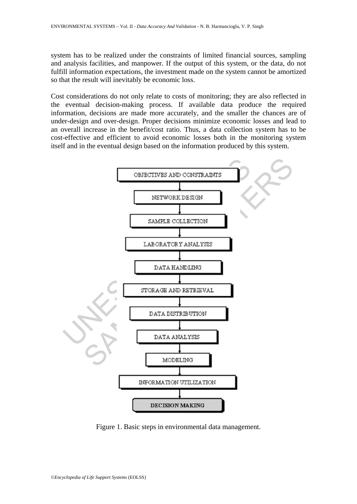system has to be realized under the constraints of limited financial sources, sampling and analysis facilities, and manpower. If the output of this system, or the data, do not fulfill information expectations, the investment made on the system cannot be amortized so that the result will inevitably be economic loss.

Cost considerations do not only relate to costs of monitoring; they are also reflected in the eventual decision-making process. If available data produce the required information, decisions are made more accurately, and the smaller the chances are of under-design and over-design. Proper decisions minimize economic losses and lead to an overall increase in the benefit/cost ratio. Thus, a data collection system has to be cost-effective and efficient to avoid economic losses both in the monitoring system itself and in the eventual design based on the information produced by this system.



Figure 1. Basic steps in environmental data management.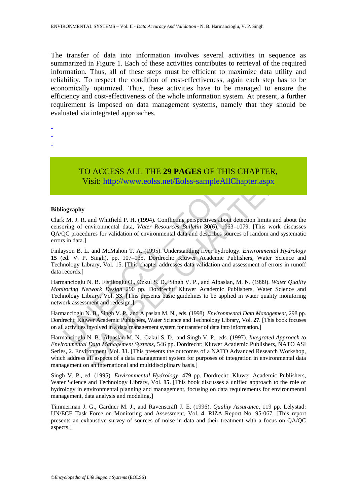The transfer of data into information involves several activities in sequence as summarized in Figure 1. Each of these activities contributes to retrieval of the required information. Thus, all of these steps must be efficient to maximize data utility and reliability. To respect the condition of cost-effectiveness, again each step has to be economically optimized. Thus, these activities have to be managed to ensure the efficiency and cost-effectiveness of the whole information system. At present, a further requirement is imposed on data management systems, namely that they should be evaluated via integrated approaches.

- -
- -
- -

TO ACCESS ALL THE **29 PAGES** OF THIS CHAPTER, Visit: http://www.eolss.net/Eolss-sampleAllChapter.aspx

#### **Bibliography**

Clark M. J. R. and Whitfield P. H. (1994). Conflicting perspectives about detection limits and about the censoring of environmental data, *Water Resources Bulletin* **30**(6), 1063–1079. [This work discusses QA/QC procedures for validation of environmental data and describes sources of random and systematic errors in data.]

TO ACCESS ALL THE 29 PAGES OF THIS CHA<br>Visit: http://www.eolss.net/Eolss-sampleAllChapte<br>iography<br>tiography<br>moring of environmental data, *Water Resources Bulletin* 30(6), 1063–1079.<br>Dioring of environmental data, *Water R* Finlayson B. L. and McMahon T. A. (1995). Understanding river hydrology. *Environmental Hydrology* **15** (ed. V. P. Singh), pp. 107–135. Dordrecht: Kluwer Academic Publishers, Water Science and Technology Library, Vol. 15. [This chapter addresses data validation and assessment of errors in runoff data records.]

Harmancioglu N. B. Fistikoglu O., Ozkul S. D., Singh V. P., and Alpaslan, M. N. (1999). *Water Quality Monitoring Network Design* 290 pp. Dordrecht: Kluwer Academic Publishers, Water Science and Technology Library, Vol. **33**. [This presents basic guidelines to be applied in water quality monitoring network assessment and redesign.]

Harmancioglu N. B., Singh V. P., and Alpaslan M. N., eds. (1998). *Environmental Data Management*, 298 pp. Dordrecht: Kluwer Academic Publishers, Water Science and Technology Library, Vol. **27**. [This book focuses on all activities involved in a data management system for transfer of data into information.]

CO ACCESS ALL THE 29 PAGES OF THIS CHAPTER,<br>
Visit: http://www.colss.net/Eolss-sampleAllChapter.aspx<br>
2. and Whitfield P. H. (1994). Conflicting perspectives about detection limits and about<br>
environmental data, *Water Re* Harmancioglu N. B., Alpaslan M. N., Ozkul S. D., and Singh V. P., eds. (1997). *Integrated Approach to Environmental Data Management Systems*, 546 pp. Dordrecht: Kluwer Academic Publishers, NATO ASI Series, 2. Environment, Vol. **31**. [This presents the outcomes of a NATO Advanced Research Workshop, which address all aspects of a data management system for purposes of integration in environmental data management on an international and multidisciplinary basis.]

Singh V. P., ed. (1995). *Environmental Hydrology*, 479 pp. Dordrecht: Kluwer Academic Publishers, Water Science and Technology Library, Vol. **15**. [This book discusses a unified approach to the role of hydrology in environmental planning and management, focusing on data requirements for environmental management, data analysis and modeling.]

Timmerman J. G., Gardner M. J., and Ravenscraft J. E. (1996). *Quality Assurance*, 119 pp. Lelystad: UN/ECE Task Force on Monitoring and Assessment, Vol. **4**, RIZA Report No. 95-067. [This report presents an exhaustive survey of sources of noise in data and their treatment with a focus on QA/QC aspects.]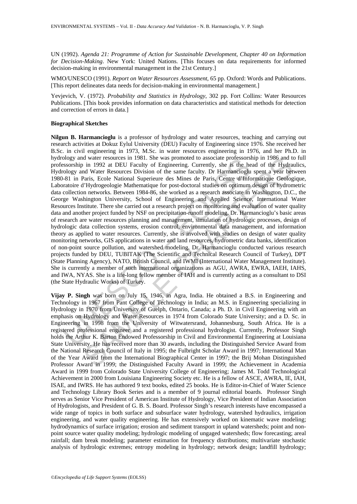UN (1992). *Agenda 21: Programme of Action for Sustainable Development*, *Chapter 40 on Information for Decision-Making*. New York: United Nations. [This focuses on data requirements for informed decision-making in environmental management in the 21st Century.]

WMO/UNESCO (1991). *Report on Water Resources Assessment*, 65 pp. Oxford: Words and Publications. [This report delineates data needs for decision-making in environmental management.]

Yevjevich, V. (1972). *Probability and Statistics in Hydrology*, 302 pp. Fort Collins: Water Resources Publications. [This book provides information on data characteristics and statistical methods for detection and correction of errors in data.]

#### **Biographical Sketches**

ology and water resources in 1981. She was promoted to associate protessors<br>Sesorship in 1992 at DEU Faculty of Engineering. Currently, she is the he clogy and Water Resources Division of the same faculty. Dr Harmancioglu<br> d water resources in 1981. She was promoted to associate professorship in 1992 and DE and Talmatic particle in the SMR and Water Resources Division of the same faculty. Dr Harmancioglu spent a year between  $\text{H}^*$ Haptard **Nilgun B. Harmancioglu** is a professor of hydrology and water resources, teaching and carrying out research activities at Dokuz Eylul University (DEU) Faculty of Engineering since 1976. She received her B.Sc. in civil engineering in 1973, M.Sc. in water resources engineering in 1976, and her Ph.D. in hydrology and water resources in 1981. She was promoted to associate professorship in 1986 and to full professorship in 1992 at DEU Faculty of Engineering. Currently, she is the head of the Hydraulics, Hydrology and Water Resources Division of the same faculty. Dr Harmancioglu spent a year between 1980-81 in Paris, Ecole National Superieure des Mines de Paris, Centre d'Informatique Geologique, Laboratoire d'Hydrogeologie Mathematique for post-doctoral studies on optimum design of hydrometric data collection networks. Between 1984-86, she worked as a research associate in Washington, D.C., the George Washington University, School of Engineering and Applied Science, International Water Resources Institute. There she carried out a research project on monitoring and evaluation of water quality data and another project funded by NSF on precipitation-runoff modeling. Dr. Harmancioglu's basic areas of research are water resources planning and management, simulation of hydrologic processes, design of hydrologic data collection systems, erosion control, environmental data management, and information theory as applied to water resources. Currently, she is involved with studies on design of water quality monitoring networks, GIS applications in water and land resources, hydrometric data banks, identification of non-point source pollution, and watershed modeling. Dr. Harmancioglu conducted various research projects funded by DEU, TUBITAK (The Scientific and Technical Research Council of Turkey), DPT (State Planning Agency), NATO, British Council, and IWMI (International Water Management Institute). She is currently a member of such international organizations as AGU, AWRA, EWRA, IAEH, IAHS, and IWA, NYAS. She is a life-long fellow member of IAH and is currently acting as a consultant to DSI (the State Hydraulic Works) of Turkey.

**Vijay P. Singh** was born on July 15, 1946, in Agra, India. He obtained a B.S. in Engineering and Technology in 1967 from Pant College of Technology in India; an M.S. in Engineering specializing in Hydrology in 1970 from University of Guelph, Ontario, Canada; a Ph. D. in Civil Engineering with an emphasis on Hydrology and Water Resources in 1974 from Colorado State University; and a D. Sc. in Engineering in 1998 from the University of Witwatersrand, Johannesburg, South Africa. He is a registered professional engineer and a registered professional hydrologist. Currently, Professor Singh holds the Arthur K. Barton Endowed Professorship in Civil and Environmental Engineering at Louisiana State University. He has received more than 30 awards, including the Distinguished Service Award from the National Research Council of Italy in 1995; the Fulbright Scholar Award in 1997; International Man of the Year Award from the International Biographical Center in 1997; the Brij Mohan Distinguished Professor Award in 1999; the Distinguished Faculty Award in 1999; the Achievement in Academia Award in 1999 from Colorado State University College of Engineering; James M. Todd Technological Achievement in 2000 from Louisiana Engineering Society etc. He is a fellow of ASCE, AWRA, IE, IAH, ISAE, and IWRS. He has authored 9 text books, edited 25 books. He is Editor-in-Chief of Water Science and Technology Library Book Series and is a member of 9 journal editorial boards. Professor Singh serves as Senior Vice President of American Institute of Hydrology, Vice President of Indian Association of Hydrologists, and President of G. B. S. Board. Professor Singh's research interests have encompassed a wide range of topics in both surface and subsurface water hydrology, watershed hydraulics, irrigation engineering, and water quality engineering. He has extensively worked on kinematic wave modeling; hydrodynamics of surface irrigation; erosion and sediment transport in upland watersheds; point and nonpoint source water quality modeling; hydrologic modeling of ungaged watersheds; flow forecasting; areal rainfall; dam break modeling; parameter estimation for frequency distributions; multivariate stochastic analysis of hydrologic extremes; entropy modeling in hydrology; network design; landfill hydrology;